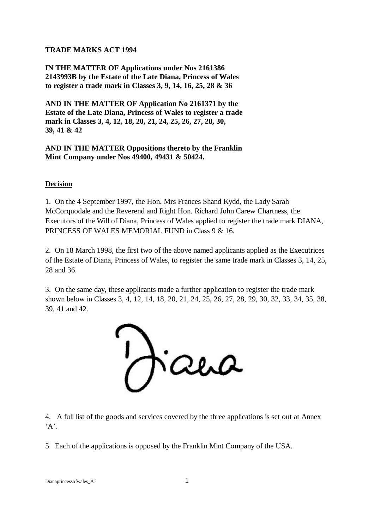## **TRADE MARKS ACT 1994**

**IN THE MATTER OF Applications under Nos 2161386 2143993B by the Estate of the Late Diana, Princess of Wales to register a trade mark in Classes 3, 9, 14, 16, 25, 28 & 36**

**AND IN THE MATTER OF Application No 2161371 by the Estate of the Late Diana, Princess of Wales to register a trade mark in Classes 3, 4, 12, 18, 20, 21, 24, 25, 26, 27, 28, 30, 39, 41 & 42**

**AND IN THE MATTER Oppositions thereto by the Franklin Mint Company under Nos 49400, 49431 & 50424.**

### **Decision**

1. On the 4 September 1997, the Hon. Mrs Frances Shand Kydd, the Lady Sarah McCorquodale and the Reverend and Right Hon. Richard John Carew Chartness, the Executors of the Will of Diana, Princess of Wales applied to register the trade mark DIANA, PRINCESS OF WALES MEMORIAL FUND in Class 9 & 16.

2. On 18 March 1998, the first two of the above named applicants applied as the Executrices of the Estate of Diana, Princess of Wales, to register the same trade mark in Classes 3, 14, 25, 28 and 36.

3. On the same day, these applicants made a further application to register the trade mark shown below in Classes 3, 4, 12, 14, 18, 20, 21, 24, 25, 26, 27, 28, 29, 30, 32, 33, 34, 35, 38, 39, 41 and 42.

ana

4. A full list of the goods and services covered by the three applications is set out at Annex  $A$ <sup>\*</sup>.

5. Each of the applications is opposed by the Franklin Mint Company of the USA.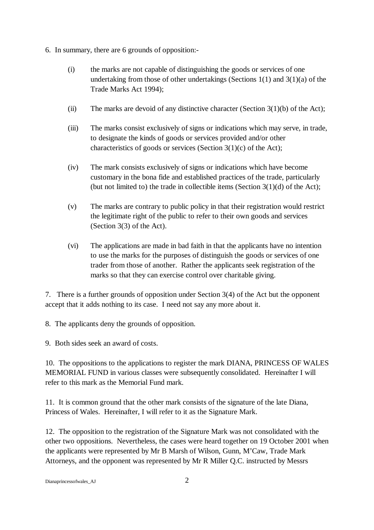- 6. In summary, there are 6 grounds of opposition:-
	- (i) the marks are not capable of distinguishing the goods or services of one undertaking from those of other undertakings (Sections  $1(1)$  and  $3(1)(a)$  of the Trade Marks Act 1994);
	- (ii) The marks are devoid of any distinctive character (Section  $3(1)(b)$  of the Act);
	- (iii) The marks consist exclusively of signs or indications which may serve, in trade, to designate the kinds of goods or services provided and/or other characteristics of goods or services (Section 3(1)(c) of the Act);
	- (iv) The mark consists exclusively of signs or indications which have become customary in the bona fide and established practices of the trade, particularly (but not limited to) the trade in collectible items (Section  $3(1)(d)$  of the Act);
	- (v) The marks are contrary to public policy in that their registration would restrict the legitimate right of the public to refer to their own goods and services (Section 3(3) of the Act).
	- (vi) The applications are made in bad faith in that the applicants have no intention to use the marks for the purposes of distinguish the goods or services of one trader from those of another. Rather the applicants seek registration of the marks so that they can exercise control over charitable giving.

7. There is a further grounds of opposition under Section 3(4) of the Act but the opponent accept that it adds nothing to its case. I need not say any more about it.

8. The applicants deny the grounds of opposition.

9. Both sides seek an award of costs.

10. The oppositions to the applications to register the mark DIANA, PRINCESS OF WALES MEMORIAL FUND in various classes were subsequently consolidated. Hereinafter I will refer to this mark as the Memorial Fund mark.

11. It is common ground that the other mark consists of the signature of the late Diana, Princess of Wales. Hereinafter, I will refer to it as the Signature Mark.

12. The opposition to the registration of the Signature Mark was not consolidated with the other two oppositions. Nevertheless, the cases were heard together on 19 October 2001 when the applicants were represented by Mr B Marsh of Wilson, Gunn, M'Caw, Trade Mark Attorneys, and the opponent was represented by Mr R Miller Q.C. instructed by Messrs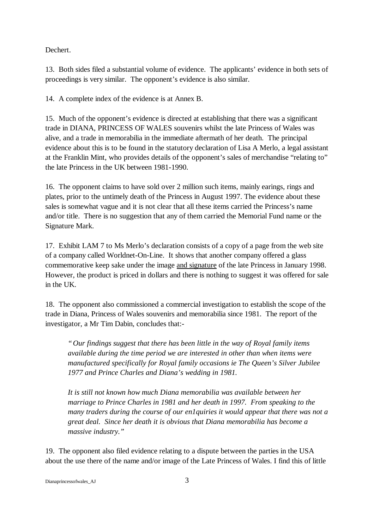Dechert.

13. Both sides filed a substantial volume of evidence. The applicants' evidence in both sets of proceedings is very similar. The opponent's evidence is also similar.

14. A complete index of the evidence is at Annex B.

15. Much of the opponent's evidence is directed at establishing that there was a significant trade in DIANA, PRINCESS OF WALES souvenirs whilst the late Princess of Wales was alive, and a trade in memorabilia in the immediate aftermath of her death. The principal evidence about this is to be found in the statutory declaration of Lisa A Merlo, a legal assistant at the Franklin Mint, who provides details of the opponent's sales of merchandise "relating to" the late Princess in the UK between 1981-1990.

16. The opponent claims to have sold over 2 million such items, mainly earings, rings and plates, prior to the untimely death of the Princess in August 1997. The evidence about these sales is somewhat vague and it is not clear that all these items carried the Princess's name and/or title. There is no suggestion that any of them carried the Memorial Fund name or the Signature Mark.

17. Exhibit LAM 7 to Ms Merlo's declaration consists of a copy of a page from the web site of a company called Worldnet-On-Line. It shows that another company offered a glass commemorative keep sake under the image and signature of the late Princess in January 1998. However, the product is priced in dollars and there is nothing to suggest it was offered for sale in the UK.

18. The opponent also commissioned a commercial investigation to establish the scope of the trade in Diana, Princess of Wales souvenirs and memorabilia since 1981. The report of the investigator, a Mr Tim Dabin, concludes that:-

*"Our findings suggest that there has been little in the way of Royal family items available during the time period we are interested in other than when items were manufactured specifically for Royal family occasions ie The Queen's Silver Jubilee 1977 and Prince Charles and Diana's wedding in 1981.*

*It is still not known how much Diana memorabilia was available between her marriage to Prince Charles in 1981 and her death in 1997. From speaking to the many traders during the course of our en1quiries it would appear that there was not a great deal. Since her death it is obvious that Diana memorabilia has become a massive industry."*

19. The opponent also filed evidence relating to a dispute between the parties in the USA about the use there of the name and/or image of the Late Princess of Wales. I find this of little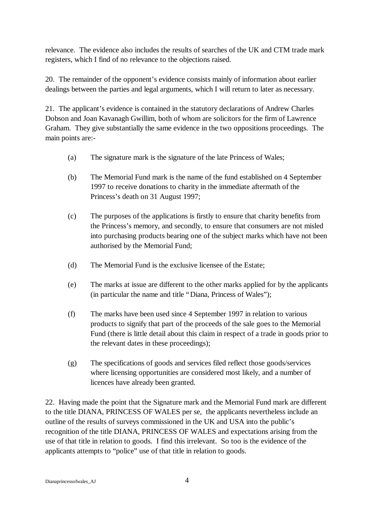relevance. The evidence also includes the results of searches of the UK and CTM trade mark registers, which I find of no relevance to the objections raised.

20. The remainder of the opponent's evidence consists mainly of information about earlier dealings between the parties and legal arguments, which I will return to later as necessary.

21. The applicant's evidence is contained in the statutory declarations of Andrew Charles Dobson and Joan Kavanagh Gwillim, both of whom are solicitors for the firm of Lawrence Graham. They give substantially the same evidence in the two oppositions proceedings. The main points are:-

- (a) The signature mark is the signature of the late Princess of Wales;
- (b) The Memorial Fund mark is the name of the fund established on 4 September 1997 to receive donations to charity in the immediate aftermath of the Princess's death on 31 August 1997;
- (c) The purposes of the applications is firstly to ensure that charity benefits from the Princess's memory, and secondly, to ensure that consumers are not misled into purchasing products bearing one of the subject marks which have not been authorised by the Memorial Fund;
- (d) The Memorial Fund is the exclusive licensee of the Estate;
- (e) The marks at issue are different to the other marks applied for by the applicants (in particular the name and title "Diana, Princess of Wales");
- (f) The marks have been used since 4 September 1997 in relation to various products to signify that part of the proceeds of the sale goes to the Memorial Fund (there is little detail about this claim in respect of a trade in goods prior to the relevant dates in these proceedings);
- (g) The specifications of goods and services filed reflect those goods/services where licensing opportunities are considered most likely, and a number of licences have already been granted.

22. Having made the point that the Signature mark and the Memorial Fund mark are different to the title DIANA, PRINCESS OF WALES per se, the applicants nevertheless include an outline of the results of surveys commissioned in the UK and USA into the public's recognition of the title DIANA, PRINCESS OF WALES and expectations arising from the use of that title in relation to goods. I find this irrelevant. So too is the evidence of the applicants attempts to "police" use of that title in relation to goods.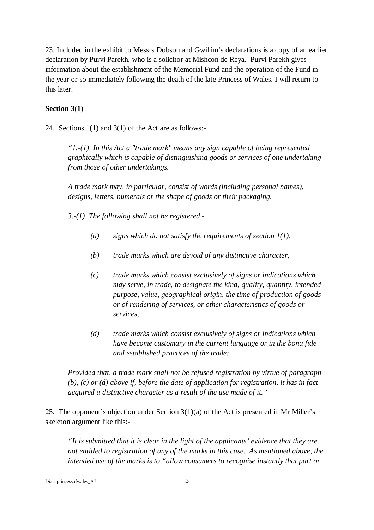23. Included in the exhibit to Messrs Dobson and Gwillim's declarations is a copy of an earlier declaration by Purvi Parekh, who is a solicitor at Mishcon de Reya. Purvi Parekh gives information about the establishment of the Memorial Fund and the operation of the Fund in the year or so immediately following the death of the late Princess of Wales. I will return to this later.

### **Section 3(1)**

24. Sections 1(1) and 3(1) of the Act are as follows:-

*"1.-(1) In this Act a "trade mark" means any sign capable of being represented graphically which is capable of distinguishing goods or services of one undertaking from those of other undertakings.*

*A trade mark may, in particular, consist of words (including personal names), designs, letters, numerals or the shape of goods or their packaging.*

*3.-(1) The following shall not be registered -*

- *(a) signs which do not satisfy the requirements of section 1(1),*
- *(b) trade marks which are devoid of any distinctive character,*
- *(c) trade marks which consist exclusively of signs or indications which may serve, in trade, to designate the kind, quality, quantity, intended purpose, value, geographical origin, the time of production of goods or of rendering of services, or other characteristics of goods or services,*
- *(d) trade marks which consist exclusively of signs or indications which have become customary in the current language or in the bona fide and established practices of the trade:*

*Provided that, a trade mark shall not be refused registration by virtue of paragraph (b), (c) or (d) above if, before the date of application for registration, it has in fact acquired a distinctive character as a result of the use made of it."*

25. The opponent's objection under Section 3(1)(a) of the Act is presented in Mr Miller's skeleton argument like this:-

*"It is submitted that it is clear in the light of the applicants' evidence that they are not entitled to registration of any of the marks in this case. As mentioned above, the intended use of the marks is to "allow consumers to recognise instantly that part or*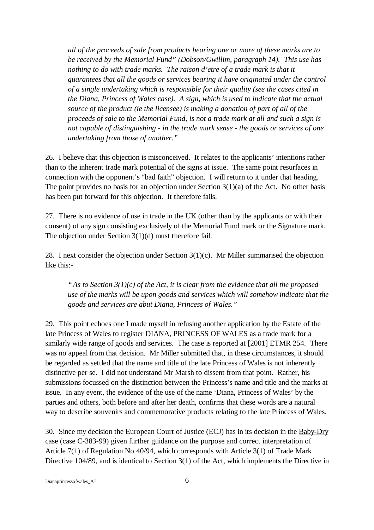*all of the proceeds of sale from products bearing one or more of these marks are to be received by the Memorial Fund" (Dobson/Gwillim, paragraph 14). This use has nothing to do with trade marks. The raison d'etre of a trade mark is that it guarantees that all the goods or services bearing it have originated under the control of a single undertaking which is responsible for their quality (see the cases cited in the Diana, Princess of Wales case). A sign, which is used to indicate that the actual source of the product (ie the licensee) is making a donation of part of all of the proceeds of sale to the Memorial Fund, is not a trade mark at all and such a sign is not capable of distinguishing - in the trade mark sense - the goods or services of one undertaking from those of another."*

26. I believe that this objection is misconceived. It relates to the applicants' intentions rather than to the inherent trade mark potential of the signs at issue. The same point resurfaces in connection with the opponent's "bad faith" objection. I will return to it under that heading. The point provides no basis for an objection under Section  $3(1)(a)$  of the Act. No other basis has been put forward for this objection. It therefore fails.

27. There is no evidence of use in trade in the UK (other than by the applicants or with their consent) of any sign consisting exclusively of the Memorial Fund mark or the Signature mark. The objection under Section 3(1)(d) must therefore fail.

28. I next consider the objection under Section 3(1)(c). Mr Miller summarised the objection like this:-

*"As to Section 3(1)(c) of the Act, it is clear from the evidence that all the proposed use of the marks will be upon goods and services which will somehow indicate that the goods and services are abut Diana, Princess of Wales."*

29. This point echoes one I made myself in refusing another application by the Estate of the late Princess of Wales to register DIANA, PRINCESS OF WALES as a trade mark for a similarly wide range of goods and services. The case is reported at [2001] ETMR 254. There was no appeal from that decision. Mr Miller submitted that, in these circumstances, it should be regarded as settled that the name and title of the late Princess of Wales is not inherently distinctive per se. I did not understand Mr Marsh to dissent from that point. Rather, his submissions focussed on the distinction between the Princess's name and title and the marks at issue. In any event, the evidence of the use of the name 'Diana, Princess of Wales' by the parties and others, both before and after her death, confirms that these words are a natural way to describe souvenirs and commemorative products relating to the late Princess of Wales.

30. Since my decision the European Court of Justice (ECJ) has in its decision in the Baby-Dry case (case C-383-99) given further guidance on the purpose and correct interpretation of Article 7(1) of Regulation No 40/94, which corresponds with Article 3(1) of Trade Mark Directive 104/89, and is identical to Section 3(1) of the Act, which implements the Directive in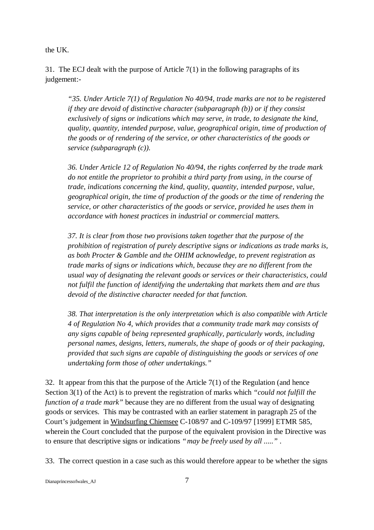the UK.

31. The ECJ dealt with the purpose of Article 7(1) in the following paragraphs of its judgement:-

*"35. Under Article 7(1) of Regulation No 40/94, trade marks are not to be registered if they are devoid of distinctive character (subparagraph (b)) or if they consist exclusively of signs or indications which may serve, in trade, to designate the kind, quality, quantity, intended purpose, value, geographical origin, time of production of the goods or of rendering of the service, or other characteristics of the goods or service (subparagraph (c)).*

*36. Under Article 12 of Regulation No 40/94, the rights conferred by the trade mark do not entitle the proprietor to prohibit a third party from using, in the course of trade, indications concerning the kind, quality, quantity, intended purpose, value, geographical origin, the time of production of the goods or the time of rendering the service, or other characteristics of the goods or service, provided he uses them in accordance with honest practices in industrial or commercial matters.*

*37. It is clear from those two provisions taken together that the purpose of the prohibition of registration of purely descriptive signs or indications as trade marks is, as both Procter & Gamble and the OHIM acknowledge, to prevent registration as trade marks of signs or indications which, because they are no different from the usual way of designating the relevant goods or services or their characteristics, could not fulfil the function of identifying the undertaking that markets them and are thus devoid of the distinctive character needed for that function.*

*38. That interpretation is the only interpretation which is also compatible with Article 4 of Regulation No 4, which provides that a community trade mark may consists of any signs capable of being represented graphically, particularly words, including personal names, designs, letters, numerals, the shape of goods or of their packaging, provided that such signs are capable of distinguishing the goods or services of one undertaking form those of other undertakings."*

32. It appear from this that the purpose of the Article 7(1) of the Regulation (and hence Section 3(1) of the Act) is to prevent the registration of marks which *"could not fulfill the function of a trade mark"* because they are no different from the usual way of designating goods or services. This may be contrasted with an earlier statement in paragraph 25 of the Court's judgement in Windsurfing Chiemsee C-108/97 and C-109/97 [1999] ETMR 585, wherein the Court concluded that the purpose of the equivalent provision in the Directive was to ensure that descriptive signs or indications *"may be freely used by all ....."* .

33. The correct question in a case such as this would therefore appear to be whether the signs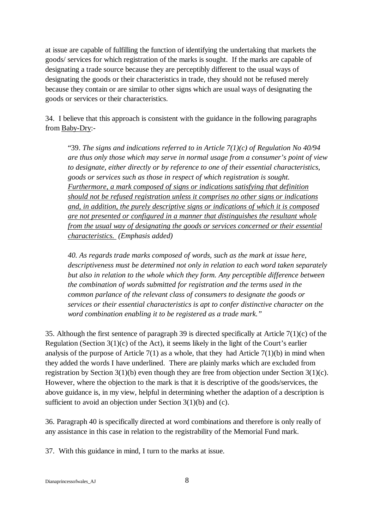at issue are capable of fulfilling the function of identifying the undertaking that markets the goods/ services for which registration of the marks is sought. If the marks are capable of designating a trade source because they are perceptibly different to the usual ways of designating the goods or their characteristics in trade, they should not be refused merely because they contain or are similar to other signs which are usual ways of designating the goods or services or their characteristics.

34. I believe that this approach is consistent with the guidance in the following paragraphs from Baby-Dry:-

"39. *The signs and indications referred to in Article 7(1)(c) of Regulation No 40/94 are thus only those which may serve in normal usage from a consumer's point of view to designate, either directly or by reference to one of their essential characteristics, goods or services such as those in respect of which registration is sought. Furthermore, a mark composed of signs or indications satisfying that definition should not be refused registration unless it comprises no other signs or indications and, in addition, the purely descriptive signs or indications of which it is composed are not presented or configured in a manner that distinguishes the resultant whole from the usual way of designating the goods or services concerned or their essential characteristics. (Emphasis added)*

*40. As regards trade marks composed of words, such as the mark at issue here, descriptiveness must be determined not only in relation to each word taken separately but also in relation to the whole which they form. Any perceptible difference between the combination of words submitted for registration and the terms used in the common parlance of the relevant class of consumers to designate the goods or services or their essential characteristics is apt to confer distinctive character on the word combination enabling it to be registered as a trade mark."* 

35. Although the first sentence of paragraph 39 is directed specifically at Article 7(1)(c) of the Regulation (Section 3(1)(c) of the Act), it seems likely in the light of the Court's earlier analysis of the purpose of Article  $7(1)$  as a whole, that they had Article  $7(1)(b)$  in mind when they added the words I have underlined. There are plainly marks which are excluded from registration by Section 3(1)(b) even though they are free from objection under Section 3(1)(c). However, where the objection to the mark is that it is descriptive of the goods/services, the above guidance is, in my view, helpful in determining whether the adaption of a description is sufficient to avoid an objection under Section 3(1)(b) and (c).

36. Paragraph 40 is specifically directed at word combinations and therefore is only really of any assistance in this case in relation to the registrability of the Memorial Fund mark.

37. With this guidance in mind, I turn to the marks at issue.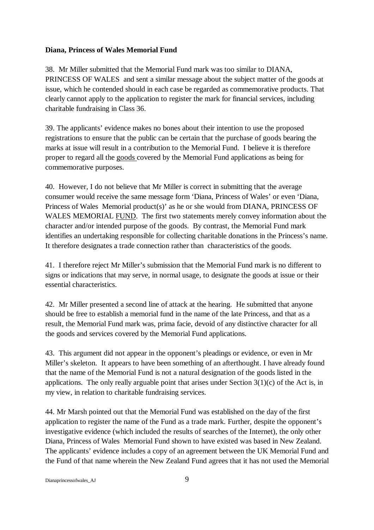### **Diana, Princess of Wales Memorial Fund**

38. Mr Miller submitted that the Memorial Fund mark was too similar to DIANA, PRINCESS OF WALES and sent a similar message about the subject matter of the goods at issue, which he contended should in each case be regarded as commemorative products. That clearly cannot apply to the application to register the mark for financial services, including charitable fundraising in Class 36.

39. The applicants' evidence makes no bones about their intention to use the proposed registrations to ensure that the public can be certain that the purchase of goods bearing the marks at issue will result in a contribution to the Memorial Fund. I believe it is therefore proper to regard all the goods covered by the Memorial Fund applications as being for commemorative purposes.

40. However, I do not believe that Mr Miller is correct in submitting that the average consumer would receive the same message form 'Diana, Princess of Wales' or even 'Diana, Princess of Wales Memorial product(s)' as he or she would from DIANA, PRINCESS OF WALES MEMORIAL FUND. The first two statements merely convey information about the character and/or intended purpose of the goods. By contrast, the Memorial Fund mark identifies an undertaking responsible for collecting charitable donations in the Princess's name. It therefore designates a trade connection rather than characteristics of the goods.

41. I therefore reject Mr Miller's submission that the Memorial Fund mark is no different to signs or indications that may serve, in normal usage, to designate the goods at issue or their essential characteristics.

42. Mr Miller presented a second line of attack at the hearing. He submitted that anyone should be free to establish a memorial fund in the name of the late Princess, and that as a result, the Memorial Fund mark was, prima facie, devoid of any distinctive character for all the goods and services covered by the Memorial Fund applications.

43. This argument did not appear in the opponent's pleadings or evidence, or even in Mr Miller's skeleton. It appears to have been something of an afterthought. I have already found that the name of the Memorial Fund is not a natural designation of the goods listed in the applications. The only really arguable point that arises under Section  $3(1)(c)$  of the Act is, in my view, in relation to charitable fundraising services.

44. Mr Marsh pointed out that the Memorial Fund was established on the day of the first application to register the name of the Fund as a trade mark. Further, despite the opponent's investigative evidence (which included the results of searches of the Internet), the only other Diana, Princess of Wales Memorial Fund shown to have existed was based in New Zealand. The applicants' evidence includes a copy of an agreement between the UK Memorial Fund and the Fund of that name wherein the New Zealand Fund agrees that it has not used the Memorial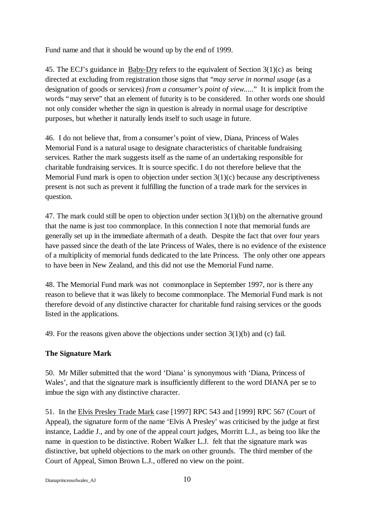Fund name and that it should be wound up by the end of 1999.

45. The ECJ's guidance in Baby-Dry refers to the equivalent of Section 3(1)(c) as being directed at excluding from registration those signs that "*may serve in normal usage* (as a designation of goods or services) *from a consumer's point of view....*." It is implicit from the words "may serve" that an element of futurity is to be considered. In other words one should not only consider whether the sign in question is already in normal usage for descriptive purposes, but whether it naturally lends itself to such usage in future.

46. I do not believe that, from a consumer's point of view, Diana, Princess of Wales Memorial Fund is a natural usage to designate characteristics of charitable fundraising services. Rather the mark suggests itself as the name of an undertaking responsible for charitable fundraising services. It is source specific. I do not therefore believe that the Memorial Fund mark is open to objection under section  $3(1)(c)$  because any descriptiveness present is not such as prevent it fulfilling the function of a trade mark for the services in question.

47. The mark could still be open to objection under section 3(1)(b) on the alternative ground that the name is just too commonplace. In this connection I note that memorial funds are generally set up in the immediate aftermath of a death. Despite the fact that over four years have passed since the death of the late Princess of Wales, there is no evidence of the existence of a multiplicity of memorial funds dedicated to the late Princess. The only other one appears to have been in New Zealand, and this did not use the Memorial Fund name.

48. The Memorial Fund mark was not commonplace in September 1997, nor is there any reason to believe that it was likely to become commonplace. The Memorial Fund mark is not therefore devoid of any distinctive character for charitable fund raising services or the goods listed in the applications.

49. For the reasons given above the objections under section 3(1)(b) and (c) fail.

# **The Signature Mark**

50. Mr Miller submitted that the word 'Diana' is synonymous with 'Diana, Princess of Wales', and that the signature mark is insufficiently different to the word DIANA per se to imbue the sign with any distinctive character.

51. In the Elvis Presley Trade Mark case [1997] RPC 543 and [1999] RPC 567 (Court of Appeal), the signature form of the name 'Elvis A Presley' was criticised by the judge at first instance, Laddie J., and by one of the appeal court judges, Morritt L.J., as being too like the name in question to be distinctive. Robert Walker L.J. felt that the signature mark was distinctive, but upheld objections to the mark on other grounds. The third member of the Court of Appeal, Simon Brown L.J., offered no view on the point.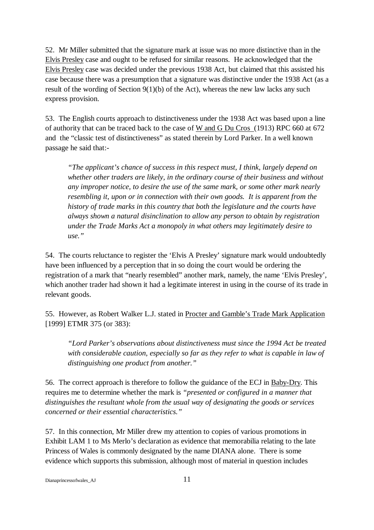52. Mr Miller submitted that the signature mark at issue was no more distinctive than in the Elvis Presley case and ought to be refused for similar reasons. He acknowledged that the Elvis Presley case was decided under the previous 1938 Act, but claimed that this assisted his case because there was a presumption that a signature was distinctive under the 1938 Act (as a result of the wording of Section 9(1)(b) of the Act), whereas the new law lacks any such express provision.

53. The English courts approach to distinctiveness under the 1938 Act was based upon a line of authority that can be traced back to the case of W and G Du Cros (1913) RPC 660 at 672 and the "classic test of distinctiveness" as stated therein by Lord Parker. In a well known passage he said that:-

*"The applicant's chance of success in this respect must, I think, largely depend on whether other traders are likely, in the ordinary course of their business and without any improper notice, to desire the use of the same mark, or some other mark nearly resembling it, upon or in connection with their own goods. It is apparent from the history of trade marks in this country that both the legislature and the courts have always shown a natural disinclination to allow any person to obtain by registration under the Trade Marks Act a monopoly in what others may legitimately desire to use."*

54. The courts reluctance to register the 'Elvis A Presley' signature mark would undoubtedly have been influenced by a perception that in so doing the court would be ordering the registration of a mark that "nearly resembled" another mark, namely, the name 'Elvis Presley', which another trader had shown it had a legitimate interest in using in the course of its trade in relevant goods.

55. However, as Robert Walker L.J. stated in Procter and Gamble's Trade Mark Application [1999] ETMR 375 (or 383):

*"Lord Parker's observations about distinctiveness must since the 1994 Act be treated with considerable caution, especially so far as they refer to what is capable in law of distinguishing one product from another."*

56. The correct approach is therefore to follow the guidance of the ECJ in Baby-Dry. This requires me to determine whether the mark is *"presented or configured in a manner that distinguishes the resultant whole from the usual way of designating the goods or services concerned or their essential characteristics."*

57. In this connection, Mr Miller drew my attention to copies of various promotions in Exhibit LAM 1 to Ms Merlo's declaration as evidence that memorabilia relating to the late Princess of Wales is commonly designated by the name DIANA alone. There is some evidence which supports this submission, although most of material in question includes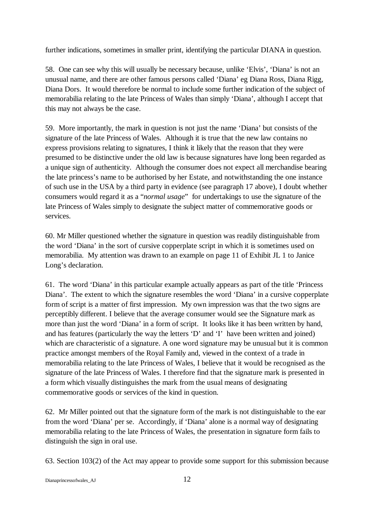further indications, sometimes in smaller print, identifying the particular DIANA in question.

58. One can see why this will usually be necessary because, unlike 'Elvis', 'Diana' is not an unusual name, and there are other famous persons called 'Diana' eg Diana Ross, Diana Rigg, Diana Dors. It would therefore be normal to include some further indication of the subject of memorabilia relating to the late Princess of Wales than simply 'Diana', although I accept that this may not always be the case.

59. More importantly, the mark in question is not just the name 'Diana' but consists of the signature of the late Princess of Wales. Although it is true that the new law contains no express provisions relating to signatures, I think it likely that the reason that they were presumed to be distinctive under the old law is because signatures have long been regarded as a unique sign of authenticity. Although the consumer does not expect all merchandise bearing the late princess's name to be authorised by her Estate, and notwithstanding the one instance of such use in the USA by a third party in evidence (see paragraph 17 above), I doubt whether consumers would regard it as a "*normal usage*" for undertakings to use the signature of the late Princess of Wales simply to designate the subject matter of commemorative goods or services.

60. Mr Miller questioned whether the signature in question was readily distinguishable from the word 'Diana' in the sort of cursive copperplate script in which it is sometimes used on memorabilia. My attention was drawn to an example on page 11 of Exhibit JL 1 to Janice Long's declaration.

61. The word 'Diana' in this particular example actually appears as part of the title 'Princess Diana'. The extent to which the signature resembles the word 'Diana' in a cursive copperplate form of script is a matter of first impression. My own impression was that the two signs are perceptibly different. I believe that the average consumer would see the Signature mark as more than just the word 'Diana' in a form of script. It looks like it has been written by hand, and has features (particularly the way the letters 'D' and 'I' have been written and joined) which are characteristic of a signature. A one word signature may be unusual but it is common practice amongst members of the Royal Family and, viewed in the context of a trade in memorabilia relating to the late Princess of Wales, I believe that it would be recognised as the signature of the late Princess of Wales. I therefore find that the signature mark is presented in a form which visually distinguishes the mark from the usual means of designating commemorative goods or services of the kind in question.

62. Mr Miller pointed out that the signature form of the mark is not distinguishable to the ear from the word 'Diana' per se. Accordingly, if 'Diana' alone is a normal way of designating memorabilia relating to the late Princess of Wales, the presentation in signature form fails to distinguish the sign in oral use.

63. Section 103(2) of the Act may appear to provide some support for this submission because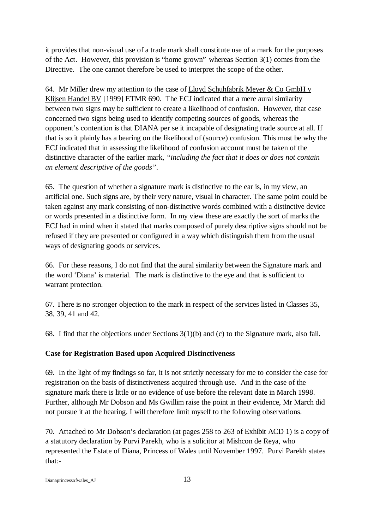it provides that non-visual use of a trade mark shall constitute use of a mark for the purposes of the Act. However, this provision is "home grown" whereas Section 3(1) comes from the Directive. The one cannot therefore be used to interpret the scope of the other.

64. Mr Miller drew my attention to the case of Lloyd Schuhfabrik Meyer & Co GmbH v Klijsen Handel BV [1999] ETMR 690. The ECJ indicated that a mere aural similarity between two signs may be sufficient to create a likelihood of confusion. However, that case concerned two signs being used to identify competing sources of goods, whereas the opponent's contention is that DIANA per se it incapable of designating trade source at all. If that is so it plainly has a bearing on the likelihood of (source) confusion. This must be why the ECJ indicated that in assessing the likelihood of confusion account must be taken of the distinctive character of the earlier mark, *"including the fact that it does or does not contain an element descriptive of the goods"*.

65. The question of whether a signature mark is distinctive to the ear is, in my view, an artificial one. Such signs are, by their very nature, visual in character. The same point could be taken against any mark consisting of non-distinctive words combined with a distinctive device or words presented in a distinctive form. In my view these are exactly the sort of marks the ECJ had in mind when it stated that marks composed of purely descriptive signs should not be refused if they are presented or configured in a way which distinguish them from the usual ways of designating goods or services.

66. For these reasons, I do not find that the aural similarity between the Signature mark and the word 'Diana' is material. The mark is distinctive to the eye and that is sufficient to warrant protection.

67. There is no stronger objection to the mark in respect of the services listed in Classes 35, 38, 39, 41 and 42.

68. I find that the objections under Sections 3(1)(b) and (c) to the Signature mark, also fail.

## **Case for Registration Based upon Acquired Distinctiveness**

69. In the light of my findings so far, it is not strictly necessary for me to consider the case for registration on the basis of distinctiveness acquired through use. And in the case of the signature mark there is little or no evidence of use before the relevant date in March 1998. Further, although Mr Dobson and Ms Gwillim raise the point in their evidence, Mr March did not pursue it at the hearing. I will therefore limit myself to the following observations.

70. Attached to Mr Dobson's declaration (at pages 258 to 263 of Exhibit ACD 1) is a copy of a statutory declaration by Purvi Parekh, who is a solicitor at Mishcon de Reya, who represented the Estate of Diana, Princess of Wales until November 1997. Purvi Parekh states that:-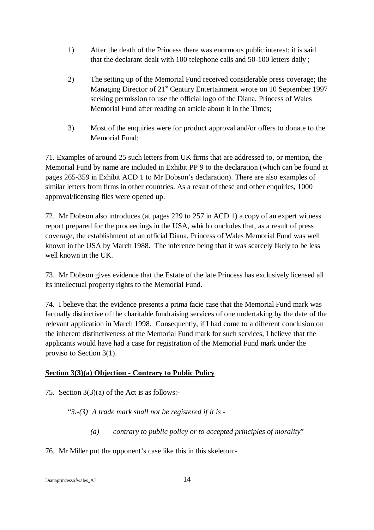- 1) After the death of the Princess there was enormous public interest; it is said that the declarant dealt with 100 telephone calls and 50-100 letters daily ;
- 2) The setting up of the Memorial Fund received considerable press coverage; the Managing Director of 21<sup>st</sup> Century Entertainment wrote on 10 September 1997 seeking permission to use the official logo of the Diana, Princess of Wales Memorial Fund after reading an article about it in the Times;
- 3) Most of the enquiries were for product approval and/or offers to donate to the Memorial Fund;

71. Examples of around 25 such letters from UK firms that are addressed to, or mention, the Memorial Fund by name are included in Exhibit PP 9 to the declaration (which can be found at pages 265-359 in Exhibit ACD 1 to Mr Dobson's declaration). There are also examples of similar letters from firms in other countries. As a result of these and other enquiries, 1000 approval/licensing files were opened up.

72. Mr Dobson also introduces (at pages 229 to 257 in ACD 1) a copy of an expert witness report prepared for the proceedings in the USA, which concludes that, as a result of press coverage, the establishment of an official Diana, Princess of Wales Memorial Fund was well known in the USA by March 1988. The inference being that it was scarcely likely to be less well known in the UK.

73. Mr Dobson gives evidence that the Estate of the late Princess has exclusively licensed all its intellectual property rights to the Memorial Fund.

74. I believe that the evidence presents a prima facie case that the Memorial Fund mark was factually distinctive of the charitable fundraising services of one undertaking by the date of the relevant application in March 1998. Consequently, if I had come to a different conclusion on the inherent distinctiveness of the Memorial Fund mark for such services, I believe that the applicants would have had a case for registration of the Memorial Fund mark under the proviso to Section 3(1).

# **Section 3(3)(a) Objection - Contrary to Public Policy**

75. Section 3(3)(a) of the Act is as follows:-

"*3.-(3) A trade mark shall not be registered if it is -* 

*(a) contrary to public policy or to accepted principles of morality*"

76. Mr Miller put the opponent's case like this in this skeleton:-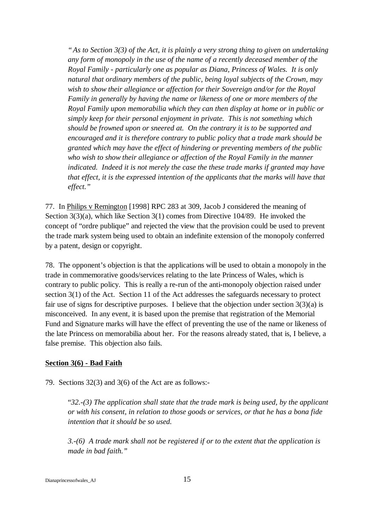*"As to Section 3(3) of the Act, it is plainly a very strong thing to given on undertaking any form of monopoly in the use of the name of a recently deceased member of the Royal Family - particularly one as popular as Diana, Princess of Wales. It is only natural that ordinary members of the public, being loyal subjects of the Crown, may wish to show their allegiance or affection for their Sovereign and/or for the Royal Family in generally by having the name or likeness of one or more members of the Royal Family upon memorabilia which they can then display at home or in public or simply keep for their personal enjoyment in private. This is not something which should be frowned upon or sneered at. On the contrary it is to be supported and encouraged and it is therefore contrary to public policy that a trade mark should be granted which may have the effect of hindering or preventing members of the public who wish to show their allegiance or affection of the Royal Family in the manner indicated. Indeed it is not merely the case the these trade marks if granted may have that effect, it is the expressed intention of the applicants that the marks will have that effect."*

77. In Philips v Remington [1998] RPC 283 at 309, Jacob J considered the meaning of Section 3(3)(a), which like Section 3(1) comes from Directive 104/89. He invoked the concept of "ordre publique" and rejected the view that the provision could be used to prevent the trade mark system being used to obtain an indefinite extension of the monopoly conferred by a patent, design or copyright.

78. The opponent's objection is that the applications will be used to obtain a monopoly in the trade in commemorative goods/services relating to the late Princess of Wales, which is contrary to public policy. This is really a re-run of the anti-monopoly objection raised under section 3(1) of the Act. Section 11 of the Act addresses the safeguards necessary to protect fair use of signs for descriptive purposes. I believe that the objection under section  $3(3)(a)$  is misconceived. In any event, it is based upon the premise that registration of the Memorial Fund and Signature marks will have the effect of preventing the use of the name or likeness of the late Princess on memorabilia about her. For the reasons already stated, that is, I believe, a false premise. This objection also fails.

## **Section 3(6) - Bad Faith**

79. Sections 32(3) and 3(6) of the Act are as follows:-

"*32.-(3) The application shall state that the trade mark is being used, by the applicant or with his consent, in relation to those goods or services, or that he has a bona fide intention that it should be so used.*

*3.-(6) A trade mark shall not be registered if or to the extent that the application is made in bad faith."*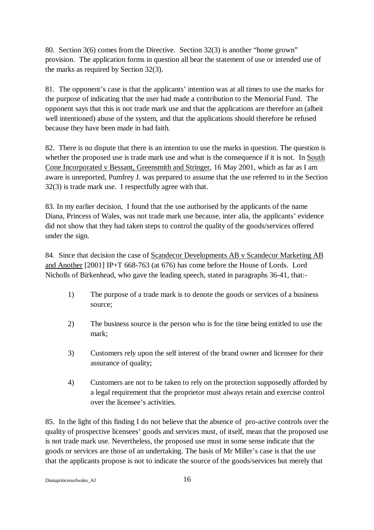80. Section 3(6) comes from the Directive. Section 32(3) is another "home grown" provision. The application forms in question all bear the statement of use or intended use of the marks as required by Section 32(3).

81. The opponent's case is that the applicants' intention was at all times to use the marks for the purpose of indicating that the user had made a contribution to the Memorial Fund. The opponent says that this is not trade mark use and that the applications are therefore an (albeit well intentioned) abuse of the system, and that the applications should therefore be refused because they have been made in bad faith.

82. There is no dispute that there is an intention to use the marks in question. The question is whether the proposed use is trade mark use and what is the consequence if it is not. In South Cone Incorporated v Bessant, Greensmith and Stringer, 16 May 2001, which as far as I am aware is unreported, Pumfrey J. was prepared to assume that the use referred to in the Section 32(3) is trade mark use. I respectfully agree with that.

83. In my earlier decision, I found that the use authorised by the applicants of the name Diana, Princess of Wales, was not trade mark use because, inter alia, the applicants' evidence did not show that they had taken steps to control the quality of the goods/services offered under the sign.

84. Since that decision the case of Scandecor Developments AB v Scandecor Marketing AB and Another [2001] IP+T 668-763 (at 676) has come before the House of Lords. Lord Nicholls of Birkenhead, who gave the leading speech, stated in paragraphs 36-41, that:-

- 1) The purpose of a trade mark is to denote the goods or services of a business source;
- 2) The business source is the person who is for the time being entitled to use the mark;
- 3) Customers rely upon the self interest of the brand owner and licensee for their assurance of quality;
- 4) Customers are not to be taken to rely on the protection supposedly afforded by a legal requirement that the proprietor must always retain and exercise control over the licensee's activities.

85. In the light of this finding I do not believe that the absence of pro-active controls over the quality of prospective licensees' goods and services must, of itself, mean that the proposed use is not trade mark use. Nevertheless, the proposed use must in some sense indicate that the goods or services are those of an undertaking. The basis of Mr Miller's case is that the use that the applicants propose is not to indicate the source of the goods/services but merely that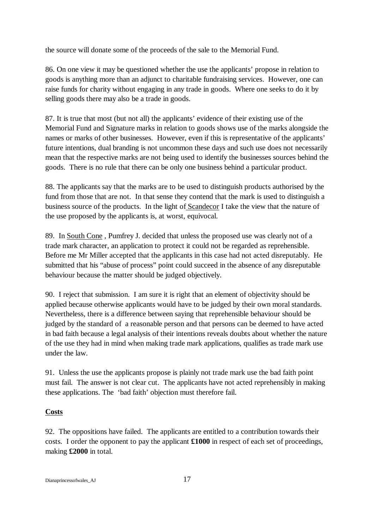the source will donate some of the proceeds of the sale to the Memorial Fund.

86. On one view it may be questioned whether the use the applicants' propose in relation to goods is anything more than an adjunct to charitable fundraising services. However, one can raise funds for charity without engaging in any trade in goods. Where one seeks to do it by selling goods there may also be a trade in goods.

87. It is true that most (but not all) the applicants' evidence of their existing use of the Memorial Fund and Signature marks in relation to goods shows use of the marks alongside the names or marks of other businesses. However, even if this is representative of the applicants' future intentions, dual branding is not uncommon these days and such use does not necessarily mean that the respective marks are not being used to identify the businesses sources behind the goods. There is no rule that there can be only one business behind a particular product.

88. The applicants say that the marks are to be used to distinguish products authorised by the fund from those that are not. In that sense they contend that the mark is used to distinguish a business source of the products. In the light of Scandecor I take the view that the nature of the use proposed by the applicants is, at worst, equivocal.

89. In South Cone , Pumfrey J. decided that unless the proposed use was clearly not of a trade mark character, an application to protect it could not be regarded as reprehensible. Before me Mr Miller accepted that the applicants in this case had not acted disreputably. He submitted that his "abuse of process" point could succeed in the absence of any disreputable behaviour because the matter should be judged objectively.

90. I reject that submission. I am sure it is right that an element of objectivity should be applied because otherwise applicants would have to be judged by their own moral standards. Nevertheless, there is a difference between saying that reprehensible behaviour should be judged by the standard of a reasonable person and that persons can be deemed to have acted in bad faith because a legal analysis of their intentions reveals doubts about whether the nature of the use they had in mind when making trade mark applications, qualifies as trade mark use under the law.

91. Unless the use the applicants propose is plainly not trade mark use the bad faith point must fail. The answer is not clear cut. The applicants have not acted reprehensibly in making these applications. The 'bad faith' objection must therefore fail.

# **Costs**

92. The oppositions have failed. The applicants are entitled to a contribution towards their costs. I order the opponent to pay the applicant **£1000** in respect of each set of proceedings, making **£2000** in total.